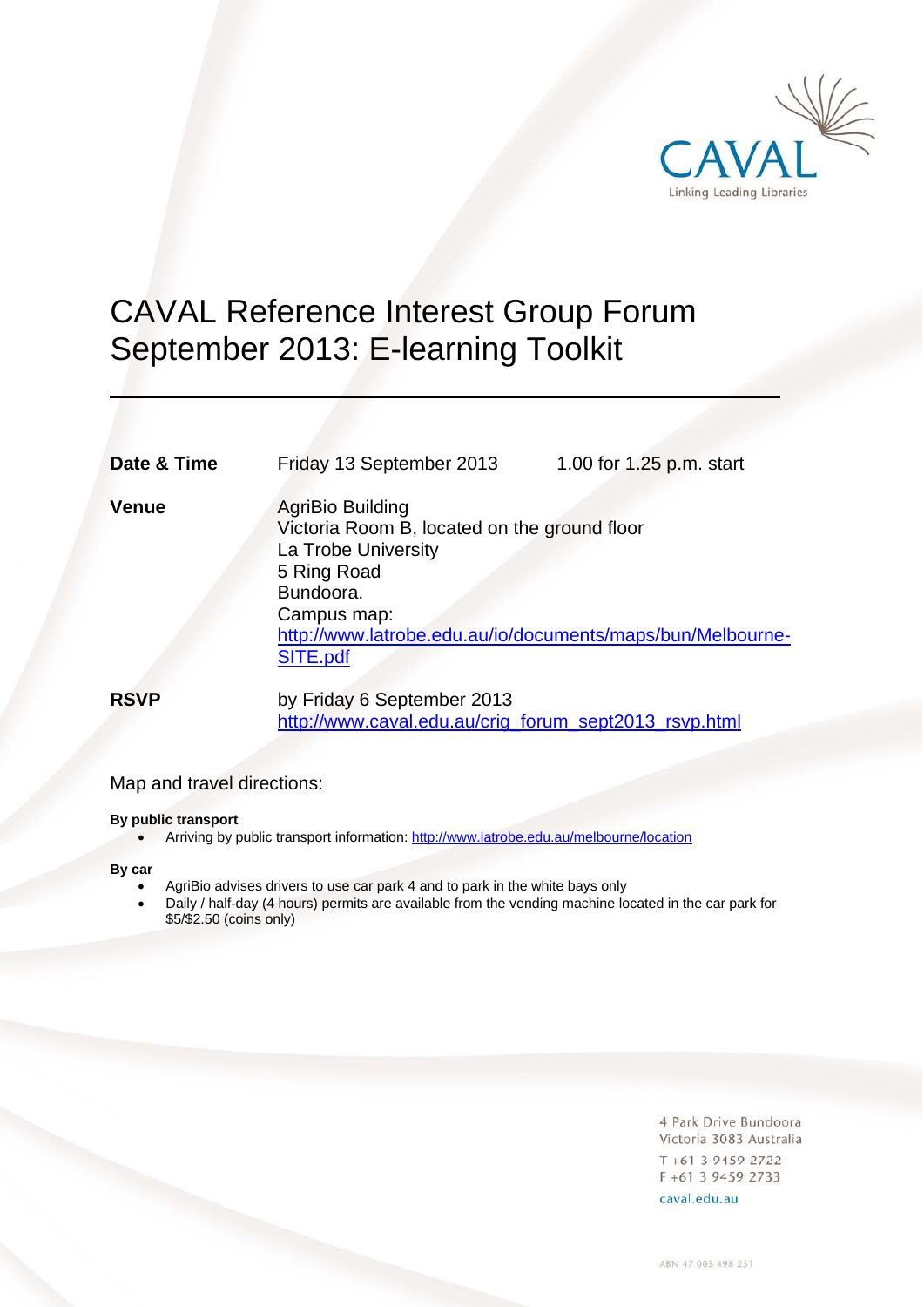

# CAVAL Reference Interest Group Forum September 2013: E-learning Toolkit

| Date & Time  | Friday 13 September 2013                                                                                                 | 1.00 for 1.25 p.m. start |
|--------------|--------------------------------------------------------------------------------------------------------------------------|--------------------------|
| <b>Venue</b> | AgriBio Building<br>Victoria Room B, located on the ground floor<br>La Trobe University<br>5 Ring Road<br>D <sub>1</sub> |                          |

Bundoora.

 Campus map: http://www.latrobe.edu.au/io/documents/maps/bun/Melbourne-SITE.pdf

**RSVP** by Friday 6 September 2013 http://www.caval.edu.au/crig\_forum\_sept2013\_rsvp.html

### Map and travel directions:

#### **By public transport**

• Arriving by public transport information: http://www.latrobe.edu.au/melbourne/location

**By car**

 $\overline{a}$ 

- AgriBio advises drivers to use car park 4 and to park in the white bays only
- Daily / half-day (4 hours) permits are available from the vending machine located in the car park for \$5/\$2.50 (coins only)

4 Park Drive Bundoora Victoria 3083 Australia  $T + 61$  3 9459 2722 F +61 3 9459 2733

caval.edu.au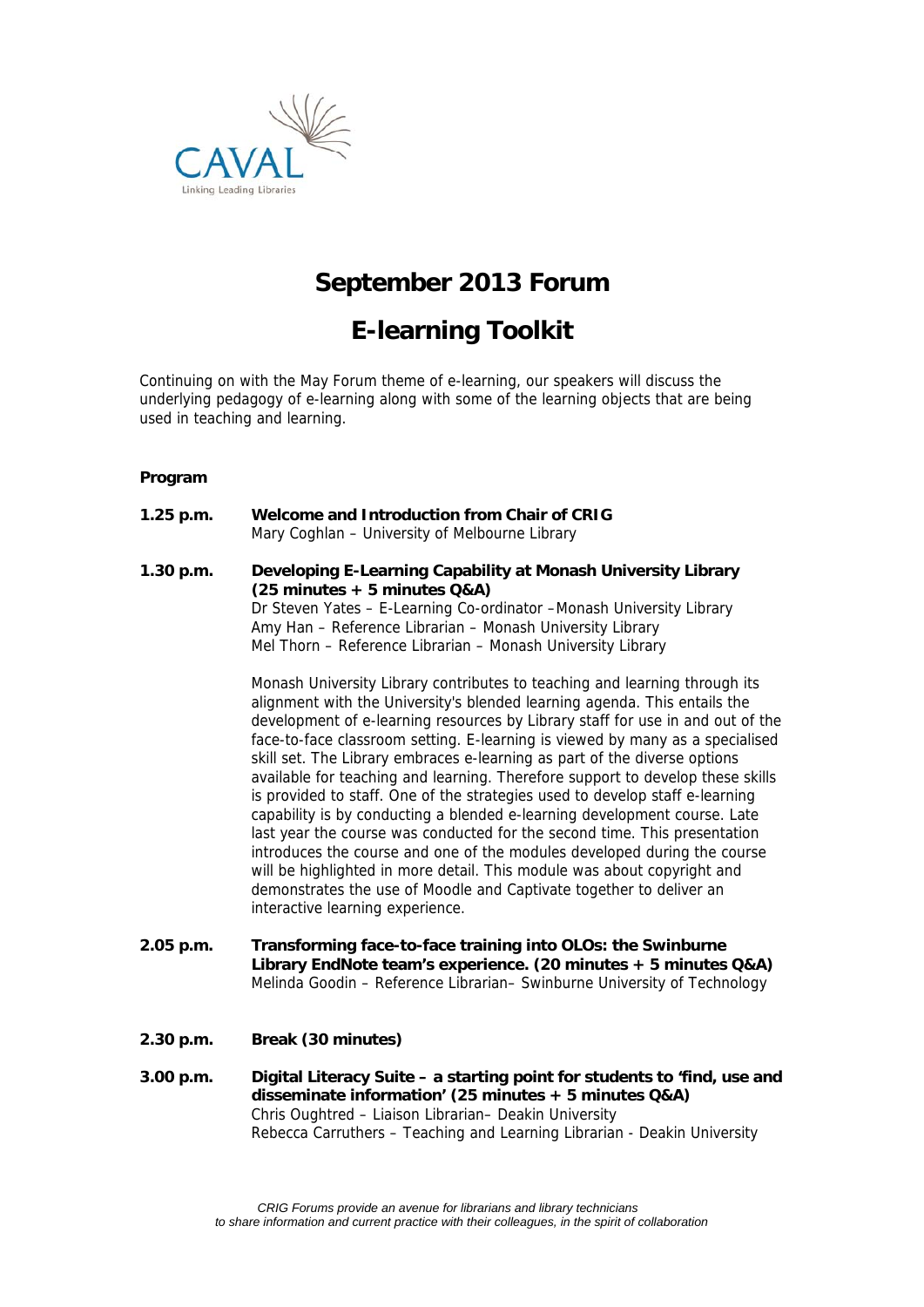

### **September 2013 Forum**

## **E-learning Toolkit**

Continuing on with the May Forum theme of e-learning, our speakers will discuss the underlying pedagogy of e-learning along with some of the learning objects that are being used in teaching and learning.

#### **Program**

**1.25 p.m. Welcome and Introduction from Chair of CRIG** Mary Coghlan – University of Melbourne Library **1.30 p.m. Developing E-Learning Capability at Monash University Library (25 minutes + 5 minutes Q&A)** Dr Steven Yates – E-Learning Co-ordinator –Monash University Library Amy Han – Reference Librarian – Monash University Library Mel Thorn – Reference Librarian – Monash University Library

> Monash University Library contributes to teaching and learning through its alignment with the University's blended learning agenda. This entails the development of e-learning resources by Library staff for use in and out of the face-to-face classroom setting. E-learning is viewed by many as a specialised skill set. The Library embraces e-learning as part of the diverse options available for teaching and learning. Therefore support to develop these skills is provided to staff. One of the strategies used to develop staff e-learning capability is by conducting a blended e-learning development course. Late last year the course was conducted for the second time. This presentation introduces the course and one of the modules developed during the course will be highlighted in more detail. This module was about copyright and demonstrates the use of Moodle and Captivate together to deliver an interactive learning experience.

- **2.05 p.m. Transforming face-to-face training into OLOs: the Swinburne**  Library EndNote team's experience. (20 minutes + 5 minutes Q&A) Melinda Goodin – Reference Librarian– Swinburne University of Technology
- **2.30 p.m. Break (30 minutes)**
- **3.00 p.m. Digital Literacy Suite a starting point for students to 'find, use and disseminate information' (25 minutes + 5 minutes Q&A)** Chris Oughtred – Liaison Librarian– Deakin University Rebecca Carruthers – Teaching and Learning Librarian - Deakin University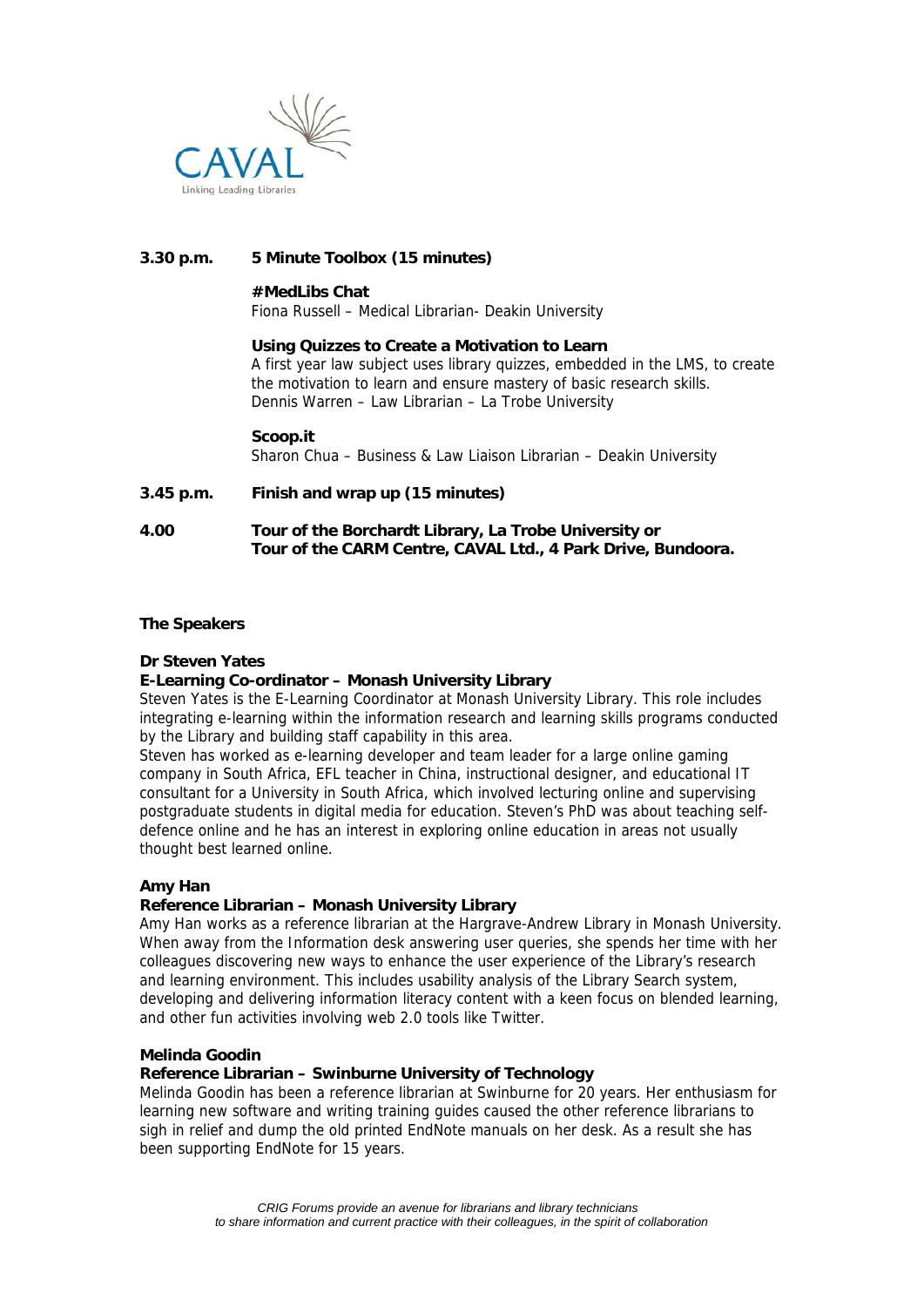

#### **3.30 p.m. 5 Minute Toolbox (15 minutes)**

#### **#MedLibs Chat**

Fiona Russell – Medical Librarian- Deakin University

#### **Using Quizzes to Create a Motivation to Learn**

A first year law subject uses library quizzes, embedded in the LMS, to create the motivation to learn and ensure mastery of basic research skills. Dennis Warren – Law Librarian – La Trobe University

**Scoop.it** 

Sharon Chua – Business & Law Liaison Librarian – Deakin University

#### **3.45 p.m. Finish and wrap up (15 minutes)**

**4.00 Tour of the Borchardt Library, La Trobe University or Tour of the CARM Centre, CAVAL Ltd., 4 Park Drive, Bundoora.** 

#### **The Speakers**

#### **Dr Steven Yates**

#### **E-Learning Co-ordinator – Monash University Library**

Steven Yates is the E-Learning Coordinator at Monash University Library. This role includes integrating e-learning within the information research and learning skills programs conducted by the Library and building staff capability in this area.

Steven has worked as e-learning developer and team leader for a large online gaming company in South Africa, EFL teacher in China, instructional designer, and educational IT consultant for a University in South Africa, which involved lecturing online and supervising postgraduate students in digital media for education. Steven's PhD was about teaching selfdefence online and he has an interest in exploring online education in areas not usually thought best learned online.

#### **Amy Han**

#### **Reference Librarian – Monash University Library**

Amy Han works as a reference librarian at the Hargrave-Andrew Library in Monash University. When away from the Information desk answering user queries, she spends her time with her colleagues discovering new ways to enhance the user experience of the Library's research and learning environment. This includes usability analysis of the Library Search system, developing and delivering information literacy content with a keen focus on blended learning, and other fun activities involving web 2.0 tools like Twitter.

#### **Melinda Goodin**

#### **Reference Librarian – Swinburne University of Technology**

Melinda Goodin has been a reference librarian at Swinburne for 20 years. Her enthusiasm for learning new software and writing training guides caused the other reference librarians to sigh in relief and dump the old printed EndNote manuals on her desk. As a result she has been supporting EndNote for 15 years.